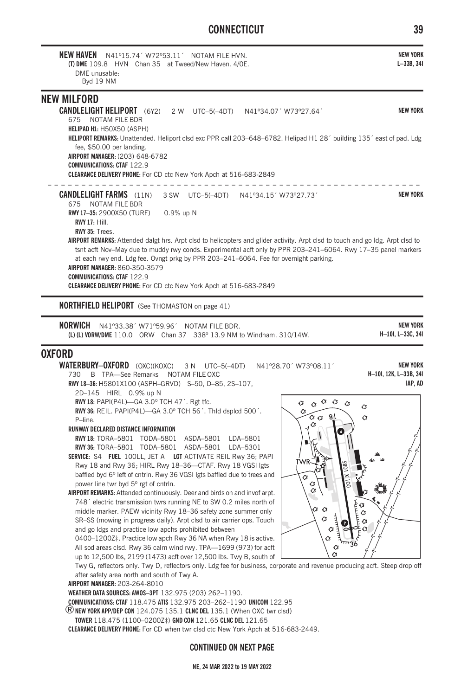# **CONNECTICUT 39**

| <b>NEW HAVEN</b><br>N41º15.74' W72º53.11' NOTAM FILE HVN.<br>(T) DME 109.8 HVN Chan 35 at Tweed/New Haven, 4/0E.<br>DMF unusable:<br>Byd 19 NM                                                                                                                                                                                                                                                                                                                                                                                                                                                                                                                            | <b>NEW YORK</b><br>$L-33B, 34I$      |
|---------------------------------------------------------------------------------------------------------------------------------------------------------------------------------------------------------------------------------------------------------------------------------------------------------------------------------------------------------------------------------------------------------------------------------------------------------------------------------------------------------------------------------------------------------------------------------------------------------------------------------------------------------------------------|--------------------------------------|
| <b>NEW MILFORD</b><br><b>CANDLELIGHT HELIPORT</b> (6Y2) 2 W UTC-5(-4DT) N41°34.07' W73°27.64'<br>NOTAM FILE BDR<br>675<br><b>HELIPAD H1: H50X50 (ASPH)</b>                                                                                                                                                                                                                                                                                                                                                                                                                                                                                                                | <b>NEW YORK</b>                      |
| HELIPORT REMARKS: Unattended. Heliport clsd exc PPR call 203-648-6782. Helipad H1 28' building 135' east of pad. Ldg<br>fee, \$50.00 per landing.<br>AIRPORT MANAGER: (203) 648-6782<br><b>COMMUNICATIONS: CTAF 122.9</b><br>CLEARANCE DELIVERY PHONE: For CD ctc New York Apch at 516-683-2849                                                                                                                                                                                                                                                                                                                                                                           |                                      |
| <b>CANDLELIGHT FARMS</b> (11N)<br>3 SW UTC-5(-4DT) N41°34.15' W73°27.73'<br>675 NOTAM FILE BDR<br>RWY 17-35: 2900X50 (TURF)<br>0.9% up N<br><b>RWY 17: Hill.</b><br>RWY 35: Trees.<br>AIRPORT REMARKS: Attended dalgt hrs. Arpt clsd to helicopters and glider activity. Arpt clsd to touch and go ldg. Arpt clsd to<br>tsnt acft Nov-May due to muddy rwy conds. Experimental acft only by PPR 203-241-6064. Rwy 17-35 panel markers<br>at each rwy end. Ldg fee. Ovngt prkg by PPR 203-241-6064. Fee for overnight parking.<br>AIRPORT MANAGER: 860-350-3579<br><b>COMMUNICATIONS: CTAF 122.9</b><br>CLEARANCE DELIVERY PHONE: For CD ctc New York Apch at 516-683-2849 | <b>NEW YORK</b>                      |
| <b>NORTHFIELD HELIPORT</b> (See THOMASTON on page 41)                                                                                                                                                                                                                                                                                                                                                                                                                                                                                                                                                                                                                     |                                      |
| <b>NORWICH</b><br>N41°33.38' W71°59.96'<br>NOTAM FILE BDR.<br>(L) (L) VORW/DME 110.0 ORW Chan 37 338° 13.9 NM to Windham, 310/14W.                                                                                                                                                                                                                                                                                                                                                                                                                                                                                                                                        | <b>NEW YORK</b><br>H-10I, L-33C, 34I |

## **OXFORD**

**WATERBURY-OXFORD** (OXC)(KOXC) 3 N UTC-5(-4DT) N41°28.70<sup>'</sup> W73°08.11<sup>'</sup> 730 B TPA—See Remarks NOTAM FILE OXC

**RWY 18–36:** H5801X100 (ASPH–GRVD) S–50, D–85, 2S–107,

2D–145 HIRL 0.9% up N

**RWY 18:** PAPI(P4L)—GA 3.0º TCH 47´. Rgt tfc.

**RWY 36:** REIL. PAPI(P4L)—GA 3.0º TCH 56´. Thld dsplcd 500´. P–line.

#### **RUNWAY DECLARED DISTANCE INFORMATION**

**RWY 18:** TORA–5801 TODA–5801 ASDA–5801 LDA–5801 **RWY 36:** TORA–5801 TODA–5801 ASDA–5801 LDA–5301 **SERVICE:** S4 **FUEL** 100LL, JET A **LGT** ACTIVATE REIL Rwy 36; PAPI

Rwy 18 and Rwy 36; HIRL Rwy 18–36—CTAF. Rwy 18 VGSI lgts baffled byd 6º left of cntrln. Rwy 36 VGSI lgts baffled due to trees and power line twr byd 5º rgt of cntrln.

**AIRPORT REMARKS:** Attended continuously. Deer and birds on and invof arpt. 748´ electric transmission twrs running NE to SW 0.2 miles north of middle marker. PAEW vicinity Rwy 18–36 safety zone summer only SR–SS (mowing in progress daily). Arpt clsd to air carrier ops. Touch and go ldgs and practice low apchs prohibited between

0400–1200Z‡. Practice low apch Rwy 36 NA when Rwy 18 is active. All sod areas clsd. Rwy 36 calm wind rwy. TPA—1699 (973) for acft up to 12,500 lbs, 2199 (1473) acft over 12,500 lbs. Twy B, south of

Twy G, reflectors only. Twy D, reflectors only. Ldg fee for business, corporate and revenue producing acft. Steep drop off after safety area north and south of Twy A.

**AIRPORT MANAGER:** 203-264-8010

**WEATHER DATA SOURCES: AWOS–3PT** 132.975 (203) 262–1190.

**COMMUNICATIONS: CTAF** 118.475 **ATIS** 132.975 203–262–1190 **UNICOM** 122.95

®**NEW YORK APP/DEP CON** 124.075 135.1 **CLNC DEL** 135.1 (When OXC twr clsd)

**TOWER** 118.475 (1100–0200Z‡) **GND CON** 121.65 **CLNC DEL** 121.65

**CLEARANCE DELIVERY PHONE:** For CD when twr clsd ctc New York Apch at 516-683-2449.

## **CONTINUED ON NEXT PAGE**

### **NE, 24 MAR 2022 to 19 MAY 2022**



**NEW YORK H–10I, 12K, L–33B, 34I IAP, AD**